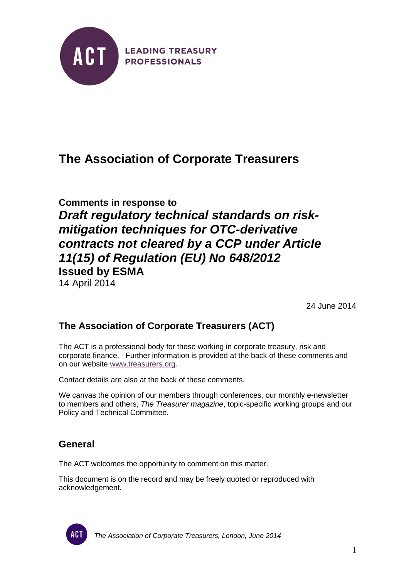

# **The Association of Corporate Treasurers**

**Comments in response to** *Draft regulatory technical standards on riskmitigation techniques for OTC-derivative contracts not cleared by a CCP under Article 11(15) of Regulation (EU) No 648/2012* **Issued by ESMA** 14 April 2014

24 June 2014

## **The Association of Corporate Treasurers (ACT)**

The ACT is a professional body for those working in corporate treasury, risk and corporate finance. Further information is provided at the back of these comments and on our website [www.treasurers.org.](http://www.treasurers.org/)

Contact details are also at the back of these comments.

We canvas the opinion of our members through conferences, our monthly e-newsletter to members and others, *The Treasurer magazine*, topic-specific working groups and our Policy and Technical Committee.

### **General**

The ACT welcomes the opportunity to comment on this matter.

This document is on the record and may be freely quoted or reproduced with acknowledgement.



*The Association of Corporate Treasurers, London, June 2014*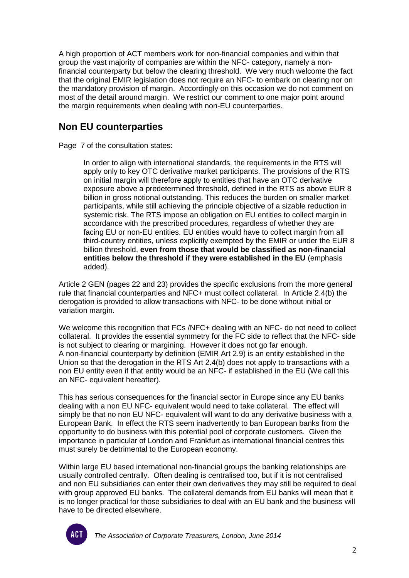A high proportion of ACT members work for non-financial companies and within that group the vast majority of companies are within the NFC- category, namely a nonfinancial counterparty but below the clearing threshold. We very much welcome the fact that the original EMIR legislation does not require an NFC- to embark on clearing nor on the mandatory provision of margin. Accordingly on this occasion we do not comment on most of the detail around margin. We restrict our comment to one major point around the margin requirements when dealing with non-EU counterparties.

## **Non EU counterparties**

Page 7 of the consultation states:

In order to align with international standards, the requirements in the RTS will apply only to key OTC derivative market participants. The provisions of the RTS on initial margin will therefore apply to entities that have an OTC derivative exposure above a predetermined threshold, defined in the RTS as above EUR 8 billion in gross notional outstanding. This reduces the burden on smaller market participants, while still achieving the principle objective of a sizable reduction in systemic risk. The RTS impose an obligation on EU entities to collect margin in accordance with the prescribed procedures, regardless of whether they are facing EU or non-EU entities. EU entities would have to collect margin from all third-country entities, unless explicitly exempted by the EMIR or under the EUR 8 billion threshold, **even from those that would be classified as non-financial entities below the threshold if they were established in the EU** (emphasis added).

Article 2 GEN (pages 22 and 23) provides the specific exclusions from the more general rule that financial counterparties and NFC+ must collect collateral. In Article 2.4(b) the derogation is provided to allow transactions with NFC- to be done without initial or variation margin.

We welcome this recognition that FCs /NFC+ dealing with an NFC- do not need to collect collateral. It provides the essential symmetry for the FC side to reflect that the NFC- side is not subject to clearing or margining. However it does not go far enough. A non-financial counterparty by definition (EMIR Art 2.9) is an entity established in the Union so that the derogation in the RTS Art 2.4(b) does not apply to transactions with a non EU entity even if that entity would be an NFC- if established in the EU (We call this an NFC- equivalent hereafter).

This has serious consequences for the financial sector in Europe since any EU banks dealing with a non EU NFC- equivalent would need to take collateral. The effect will simply be that no non EU NFC- equivalent will want to do any derivative business with a European Bank. In effect the RTS seem inadvertently to ban European banks from the opportunity to do business with this potential pool of corporate customers. Given the importance in particular of London and Frankfurt as international financial centres this must surely be detrimental to the European economy.

Within large EU based international non-financial groups the banking relationships are usually controlled centrally. Often dealing is centralised too, but if it is not centralised and non EU subsidiaries can enter their own derivatives they may still be required to deal with group approved EU banks. The collateral demands from EU banks will mean that it is no longer practical for those subsidiaries to deal with an EU bank and the business will have to be directed elsewhere.



*The Association of Corporate Treasurers, London, June 2014*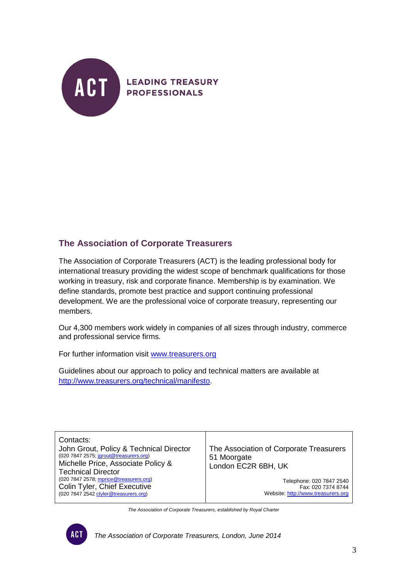

#### **The Association of Corporate Treasurers**

The Association of Corporate Treasurers (ACT) is the leading professional body for international treasury providing the widest scope of benchmark qualifications for those working in treasury, risk and corporate finance. Membership is by examination. We define standards, promote best practice and support continuing professional development. We are the professional voice of corporate treasury, representing our members.

Our 4,300 members work widely in companies of all sizes through industry, commerce and professional service firms.

For further information visit [www.treasurers.org](http://www.treasurers.org/)

Guidelines about our approach to policy and technical matters are available at [http://www.treasurers.org/technical/manifesto.](http://www.treasurers.org/technical/manifesto)

| Contacts:<br>John Grout, Policy & Technical Director<br>(020 7847 2575; jgrout@treasurers.org)<br>Michelle Price, Associate Policy &<br><b>Technical Director</b> | The Association of Corporate Treasurers<br>51 Moorgate<br>London EC2R 6BH, UK |
|-------------------------------------------------------------------------------------------------------------------------------------------------------------------|-------------------------------------------------------------------------------|
| (020 7847 2578; mprice@treasurers.org)                                                                                                                            | Telephone: 020 7847 2540                                                      |
| Colin Tyler, Chief Executive                                                                                                                                      | Fax: 020 7374 8744                                                            |
| (020 7847 2542 ctyler@treasurers.org)                                                                                                                             | Website: http://www.treasurers.org                                            |

*The Association of Corporate Treasurers, established by Royal Charter*



*The Association of Corporate Treasurers, London, June 2014*